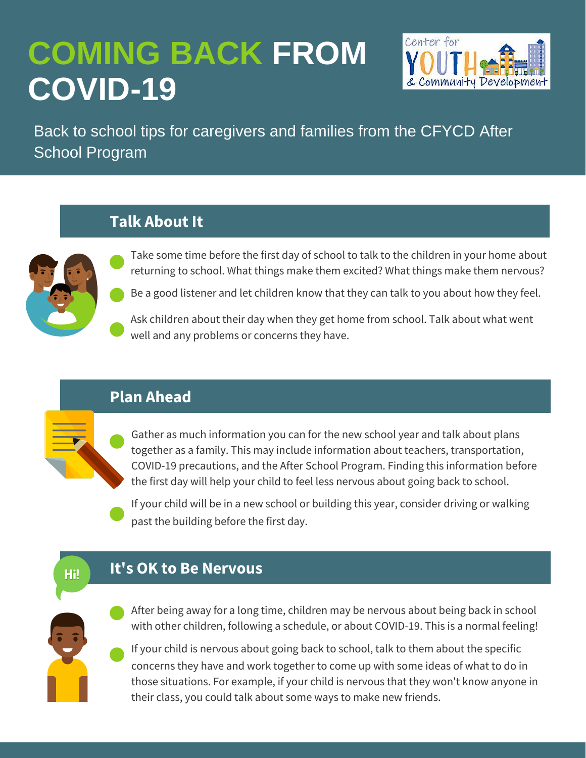## **COVID-19 COMING BACK FROM**



School Program Back to school tips for caregivers and families from the CFYCD After

### **Talk About It**



Hi!

Take some time before the first day of school to talk to the children in your home about returning to school. What things make them excited? What things make them nervous?

Be a good listener and let children know that they can talk to you about how they feel.

Ask children about their day when they get home from school. Talk about what went well and any problems or concerns they have.

#### **Plan Ahead**

Gather as much information you can for the new school year and talk about plans together as a family. This may include information about teachers, transportation, COVID-19 precautions, and the After School Program. Finding this information before the first day will help your child to feel less nervous about going back to school.

If your child will be in a new school or building this year, consider driving or walking past the building before the first day.

## **It's OK to Be Nervous**

After being away for a long time, children may be nervous about being back in school with other children, following a schedule, or about COVID-19. This is a normal feeling!

If your child is nervous about going back to school, talk to them about the specific concerns they have and work together to come up with some ideas of what to do in those situations. For example, if your child is nervous that they won't know anyone in their class, you could talk about some ways to make new friends.